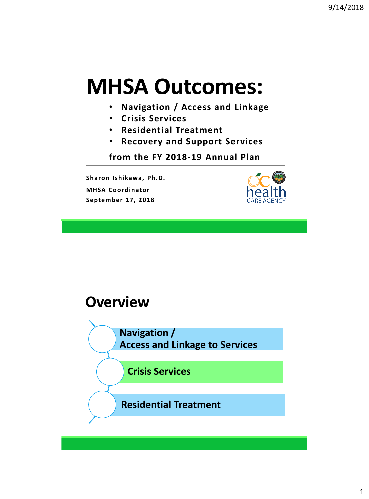# **MHSA Outcomes:**

- **Navigation / Access and Linkage**
- **Crisis Services**
- **Residential Treatment**
- **Recovery and Support Services**

**from the FY 2018-19 Annual Plan**

**Sharon Ishikawa, Ph.D. MHSA Coordinator September 17, 2018**



#### **Overview**

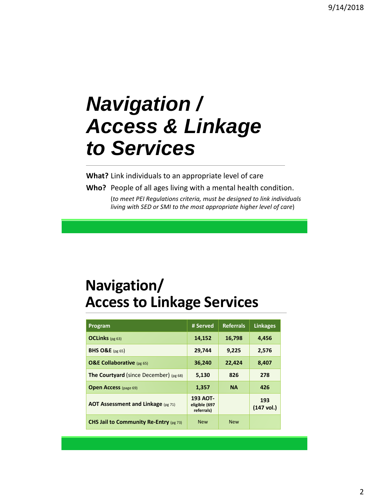# *Navigation / Access & Linkage to Services*

**What?** Link individuals to an appropriate level of care

**Who?** People of all ages living with a mental health condition. (*to meet PEI Regulations criteria, must be designed to link individuals living with SED or SMI to the most appropriate higher level of care*)

# **Navigation/ Access to Linkage Services**

| Program                                         | # Served                                | <b>Referrals</b> | <b>Linkages</b>     |
|-------------------------------------------------|-----------------------------------------|------------------|---------------------|
| <b>OCLinks</b> (pg 63)                          | 14,152                                  | 16,798           | 4,456               |
| <b>BHS O&amp;E</b> (pg 65)                      | 29,744                                  | 9,225            | 2,576               |
| <b>O&amp;E Collaborative</b> (pg 65)            | 36,240                                  | 22,424           | 8,407               |
| <b>The Courtyard</b> (since December) $(pg 68)$ | 5,130                                   | 826              | 278                 |
| <b>Open Access</b> (page 69)                    | 1,357                                   | <b>NA</b>        | 426                 |
| <b>AOT Assessment and Linkage (pg 71)</b>       | 193 AOT-<br>eligible (697<br>referrals) |                  | 193<br>$(147$ vol.) |
| CHS Jail to Community Re-Entry (pg 73)          | <b>New</b>                              | <b>New</b>       |                     |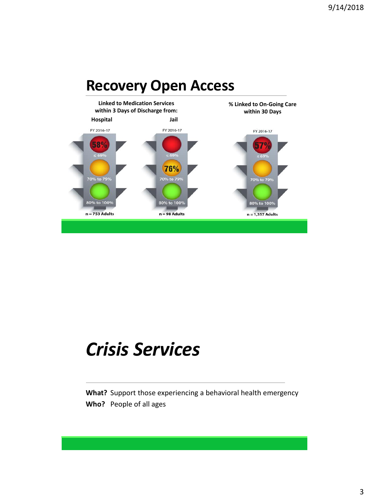

# *Crisis Services*

**What?** Support those experiencing a behavioral health emergency **Who?** People of all ages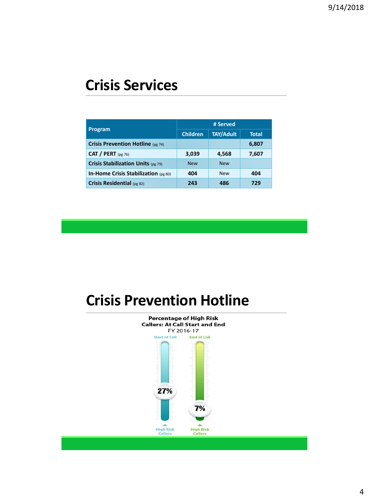### **Crisis Services**

| Program                                  | # Served        |                  |       |  |
|------------------------------------------|-----------------|------------------|-------|--|
|                                          | <b>Children</b> | <b>TAY/Adult</b> | Total |  |
| <b>Crisis Prevention Hotline</b> (pg 74) |                 |                  | 6,807 |  |
| CAT / PERT $(pg 76)$                     | 3,039           | 4,568            | 7,607 |  |
| Crisis Stabilization Units (pg 79)       | <b>New</b>      | <b>New</b>       |       |  |
| In-Home Crisis Stabilization (pg 80)     | 404             | <b>New</b>       | 404   |  |
| Crisis Residential (pg 82)               | 243             | 486              | 729   |  |

# **Crisis Prevention Hotline**

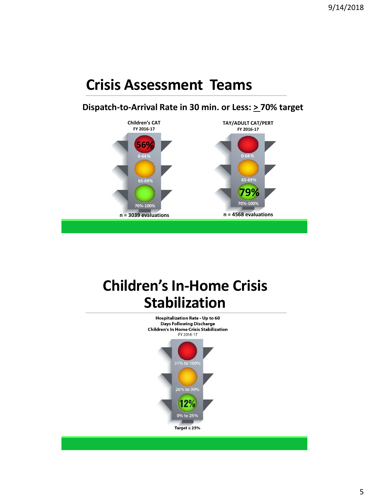### **Crisis Assessment Teams**

#### **Dispatch-to-Arrival Rate in 30 min. or Less: > 70% target**



# **Children's In-Home Crisis Stabilization**

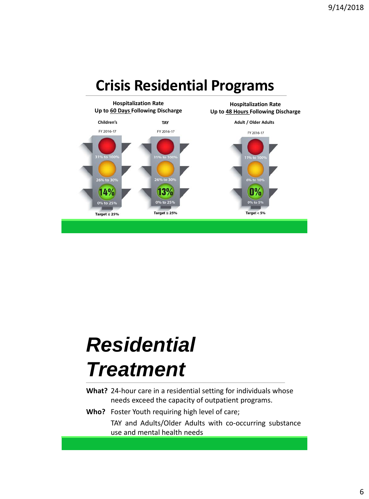

# *Residential Treatment*

- **What?** 24-hour care in a residential setting for individuals whose needs exceed the capacity of outpatient programs.
- **Who?** Foster Youth requiring high level of care;

TAY and Adults/Older Adults with co-occurring substance use and mental health needs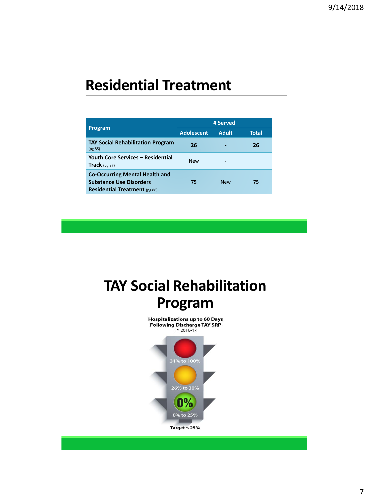### **Residential Treatment**

| Program                                                                                                         | # Served          |              |       |  |
|-----------------------------------------------------------------------------------------------------------------|-------------------|--------------|-------|--|
|                                                                                                                 | <b>Adolescent</b> | <b>Adult</b> | Total |  |
| <b>TAY Social Rehabilitation Program</b><br>(pg 85)                                                             | 26                |              | 26    |  |
| <b>Youth Core Services - Residential</b><br>Track $(pg 87)$                                                     | <b>New</b>        |              |       |  |
| <b>Co-Occurring Mental Health and</b><br><b>Substance Use Disorders</b><br><b>Residential Treatment</b> (pg 88) | 75                | <b>New</b>   | 75    |  |

# **TAY Social Rehabilitation Program**

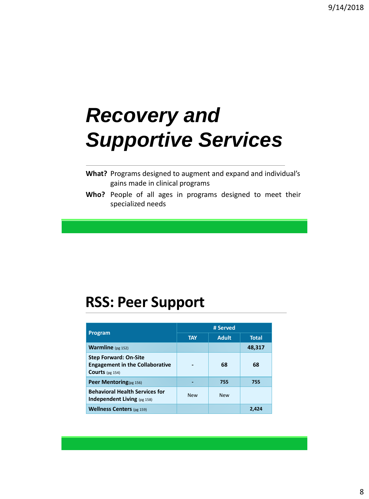# *Recovery and Supportive Services*

| What? Programs designed to augment and expand and individual's |
|----------------------------------------------------------------|
| gains made in clinical programs                                |

**Who?** People of all ages in programs designed to meet their specialized needs

### **RSS: Peer Support**

| <b>Program</b>                                                                               | # Served   |              |              |  |
|----------------------------------------------------------------------------------------------|------------|--------------|--------------|--|
|                                                                                              | <b>TAY</b> | <b>Adult</b> | <b>Total</b> |  |
| <b>Warmline</b> $(pg 152)$                                                                   |            |              | 48,317       |  |
| <b>Step Forward: On-Site</b><br><b>Engagement in the Collaborative</b><br>Courts (pg $154$ ) |            | 68           | 68           |  |
| Peer Mentoring(pg 156)                                                                       |            | 755          | 755          |  |
| <b>Behavioral Health Services for</b><br><b>Independent Living (pg 158)</b>                  | <b>New</b> | <b>New</b>   |              |  |
| <b>Wellness Centers</b> (pg 159)                                                             |            |              | 2.424        |  |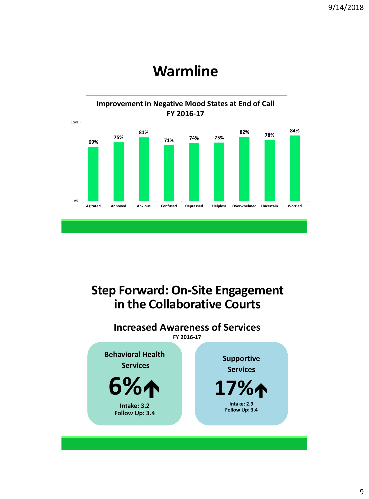

### **Warmline**

#### **Step Forward: On-Site Engagement in the Collaborative Courts**

#### **Increased Awareness of Services FY 2016-17**

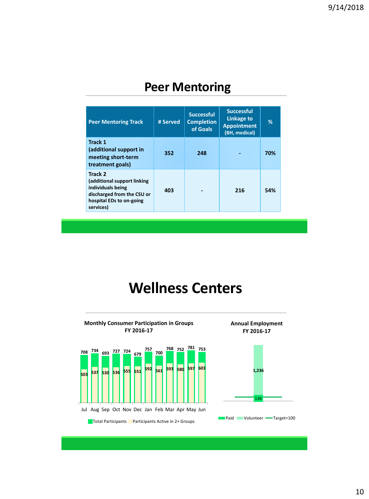#### **Peer Mentoring**

| <b>Peer Mentoring Track</b>                                                                                                        | # Served | <b>Successful</b><br><b>Completion</b><br>of Goals | <b>Successful</b><br>Linkage to<br><b>Appointment</b><br>(BH, medical) | %   |
|------------------------------------------------------------------------------------------------------------------------------------|----------|----------------------------------------------------|------------------------------------------------------------------------|-----|
| <b>Track 1</b><br>(additional support in<br>meeting short-term<br>treatment goals)                                                 | 352      | 248                                                |                                                                        | 70% |
| Track 2<br>(additional support linking<br>individuals being<br>discharged from the CSU or<br>hospital EDs to on-going<br>services) | 403      |                                                    | 216                                                                    | 54% |

### **Wellness Centers**

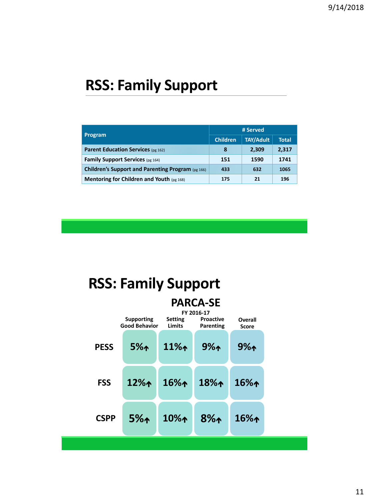# **RSS: Family Support**

|                                                   | # Served        |                  |              |  |
|---------------------------------------------------|-----------------|------------------|--------------|--|
| <b>Program</b>                                    | <b>Children</b> | <b>TAY/Adult</b> | <b>Total</b> |  |
| <b>Parent Education Services (pg 162)</b>         | 8               | 2,309            | 2,317        |  |
| <b>Family Support Services (pg 164)</b>           | 151             | 1590             | 1741         |  |
| Children's Support and Parenting Program (pg 166) | 433             | 632              | 1065         |  |
| <b>Mentoring for Children and Youth (pg 168)</b>  | 175             | 21               | 196          |  |

# **RSS: Family Support**

|             | <b>PARCA-SE</b><br>FY 2016-17             |                                 |                               |                         |  |  |
|-------------|-------------------------------------------|---------------------------------|-------------------------------|-------------------------|--|--|
|             | <b>Supporting</b><br><b>Good Behavior</b> | <b>Setting</b><br><b>Limits</b> | <b>Proactive</b><br>Parenting | Overall<br><b>Score</b> |  |  |
| <b>PESS</b> | 5%                                        | $11\%1$                         | 9%                            | $9\%$                   |  |  |
| <b>FSS</b>  | $12\%$                                    | $16\%$                          | $18\%$                        | $16\%$                  |  |  |
| <b>CSPP</b> | 5%                                        | $10\%$                          | $8\%$                         | $16\%$                  |  |  |
|             |                                           |                                 |                               |                         |  |  |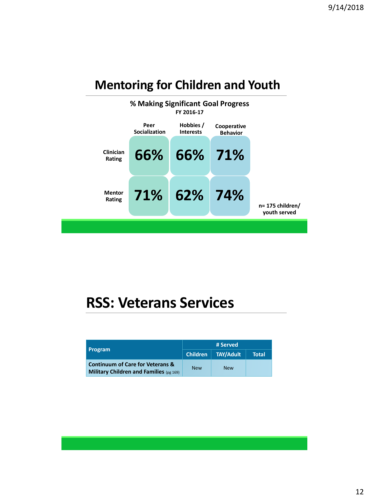#### **Mentoring for Children and Youth**



### **RSS: Veterans Services**

| <b>Program</b>                                                                                | # Served   |                  |              |  |
|-----------------------------------------------------------------------------------------------|------------|------------------|--------------|--|
|                                                                                               | Children   | <b>TAY/Adult</b> | <b>Total</b> |  |
| <b>Continuum of Care for Veterans &amp;</b><br><b>Military Children and Families (pg 169)</b> | <b>New</b> | <b>New</b>       |              |  |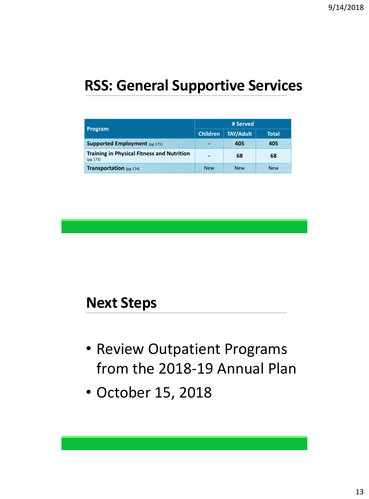# **RSS: General Supportive Services**

|                                                               | # Served                 |                  |            |  |
|---------------------------------------------------------------|--------------------------|------------------|------------|--|
| <b>Program</b>                                                | <b>Children</b>          | <b>TAY/Adult</b> | Total      |  |
| <b>Supported Employment</b> (pg 171)                          | -                        | 405              | 405        |  |
| <b>Training in Physical Fitness and Nutrition</b><br>(pg 173) | $\overline{\phantom{0}}$ | 68               | 68         |  |
| <b>Transportation</b> (pg 174)                                | <b>New</b>               | <b>New</b>       | <b>New</b> |  |

#### **Next Steps**

- Review Outpatient Programs from the 2018-19 Annual Plan
- October 15, 2018